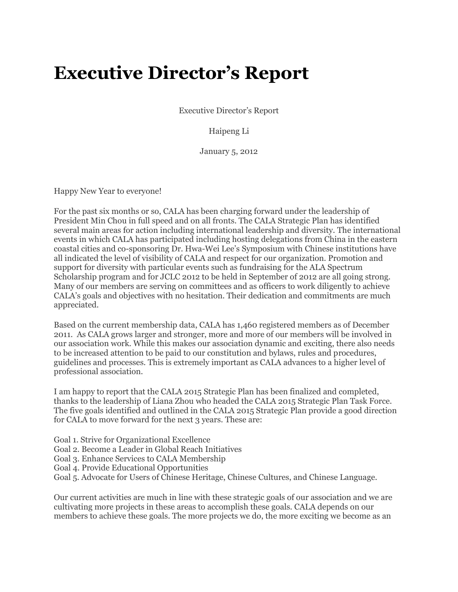## **Executive Director's Report**

Executive Director's Report

Haipeng Li

January 5, 2012

Happy New Year to everyone!

For the past six months or so, CALA has been charging forward under the leadership of President Min Chou in full speed and on all fronts. The CALA Strategic Plan has identified several main areas for action including international leadership and diversity. The international events in which CALA has participated including hosting delegations from China in the eastern coastal cities and co-sponsoring Dr. Hwa-Wei Lee's Symposium with Chinese institutions have all indicated the level of visibility of CALA and respect for our organization. Promotion and support for diversity with particular events such as fundraising for the ALA Spectrum Scholarship program and for JCLC 2012 to be held in September of 2012 are all going strong. Many of our members are serving on committees and as officers to work diligently to achieve CALA's goals and objectives with no hesitation. Their dedication and commitments are much appreciated.

Based on the current membership data, CALA has 1,460 registered members as of December 2011. As CALA grows larger and stronger, more and more of our members will be involved in our association work. While this makes our association dynamic and exciting, there also needs to be increased attention to be paid to our constitution and bylaws, rules and procedures, guidelines and processes. This is extremely important as CALA advances to a higher level of professional association.

I am happy to report that the CALA 2015 Strategic Plan has been finalized and completed, thanks to the leadership of Liana Zhou who headed the CALA 2015 Strategic Plan Task Force. The five goals identified and outlined in the CALA 2015 Strategic Plan provide a good direction for CALA to move forward for the next 3 years. These are:

Goal 1. Strive for Organizational Excellence Goal 2. Become a Leader in Global Reach Initiatives Goal 3. Enhance Services to CALA Membership Goal 4. Provide Educational Opportunities Goal 5. Advocate for Users of Chinese Heritage, Chinese Cultures, and Chinese Language.

Our current activities are much in line with these strategic goals of our association and we are cultivating more projects in these areas to accomplish these goals. CALA depends on our members to achieve these goals. The more projects we do, the more exciting we become as an